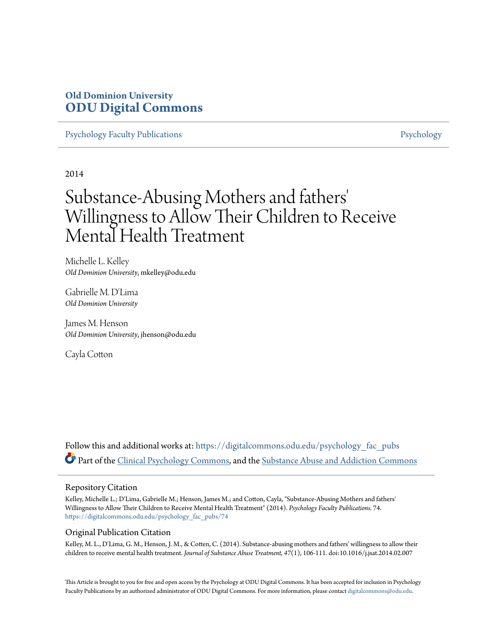### **Old Dominion University [ODU Digital Commons](https://digitalcommons.odu.edu?utm_source=digitalcommons.odu.edu%2Fpsychology_fac_pubs%2F74&utm_medium=PDF&utm_campaign=PDFCoverPages)**

[Psychology Faculty Publications](https://digitalcommons.odu.edu/psychology_fac_pubs?utm_source=digitalcommons.odu.edu%2Fpsychology_fac_pubs%2F74&utm_medium=PDF&utm_campaign=PDFCoverPages) **[Psychology](https://digitalcommons.odu.edu/psychology?utm_source=digitalcommons.odu.edu%2Fpsychology_fac_pubs%2F74&utm_medium=PDF&utm_campaign=PDFCoverPages)** Psychology

2014

## Substance-Abusing Mothers and fathers 'Willingness to Allow Their Children to Receive Mental Health Treatment

Michelle L. Kelley *Old Dominion University*, mkelley@odu.edu

Gabrielle M. D'Lima *Old Dominion University*

James M. Henson *Old Dominion University*, jhenson@odu.edu

Cayla Cotton

Follow this and additional works at: [https://digitalcommons.odu.edu/psychology\\_fac\\_pubs](https://digitalcommons.odu.edu/psychology_fac_pubs?utm_source=digitalcommons.odu.edu%2Fpsychology_fac_pubs%2F74&utm_medium=PDF&utm_campaign=PDFCoverPages) Part of the [Clinical Psychology Commons,](http://network.bepress.com/hgg/discipline/406?utm_source=digitalcommons.odu.edu%2Fpsychology_fac_pubs%2F74&utm_medium=PDF&utm_campaign=PDFCoverPages) and the [Substance Abuse and Addiction Commons](http://network.bepress.com/hgg/discipline/710?utm_source=digitalcommons.odu.edu%2Fpsychology_fac_pubs%2F74&utm_medium=PDF&utm_campaign=PDFCoverPages)

#### Repository Citation

Kelley, Michelle L.; D'Lima, Gabrielle M.; Henson, James M.; and Cotton, Cayla, "Substance-Abusing Mothers and fathers' Willingness to Allow Their Children to Receive Mental Health Treatment" (2014). *Psychology Faculty Publications*. 74. [https://digitalcommons.odu.edu/psychology\\_fac\\_pubs/74](https://digitalcommons.odu.edu/psychology_fac_pubs/74?utm_source=digitalcommons.odu.edu%2Fpsychology_fac_pubs%2F74&utm_medium=PDF&utm_campaign=PDFCoverPages)

#### Original Publication Citation

Kelley, M. L., D'Lima, G. M., Henson, J. M., & Cotten, C. (2014). Substance-abusing mothers and fathers' willingness to allow their children to receive mental health treatment. *Journal of Substance Abuse Treatment, 47*(1), 106-111. doi:10.1016/j.jsat.2014.02.007

This Article is brought to you for free and open access by the Psychology at ODU Digital Commons. It has been accepted for inclusion in Psychology Faculty Publications by an authorized administrator of ODU Digital Commons. For more information, please contact [digitalcommons@odu.edu.](mailto:digitalcommons@odu.edu)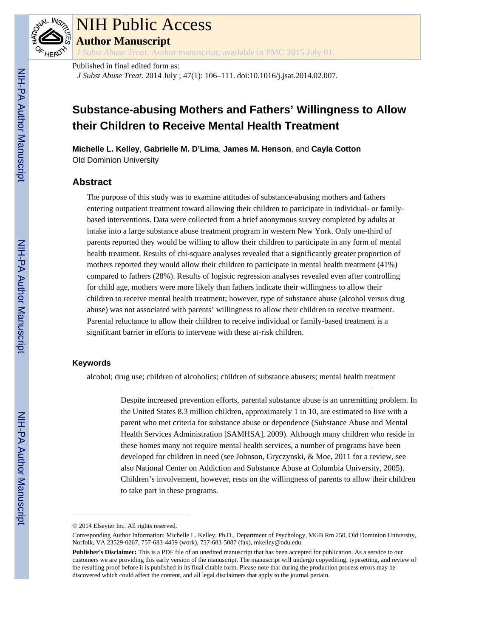

# NIH Public Access

**Author Manuscript**

*J Subst Abuse Treat*. Author manuscript; available in PMC 2015 July 01.

Published in final edited form as: *J Subst Abuse Treat*. 2014 July ; 47(1): 106–111. doi:10.1016/j.jsat.2014.02.007.

## **Substance-abusing Mothers and Fathers' Willingness to Allow their Children to Receive Mental Health Treatment**

**Michelle L. Kelley**, **Gabrielle M. D'Lima**, **James M. Henson**, and **Cayla Cotton** Old Dominion University

#### **Abstract**

The purpose of this study was to examine attitudes of substance-abusing mothers and fathers entering outpatient treatment toward allowing their children to participate in individual- or familybased interventions. Data were collected from a brief anonymous survey completed by adults at intake into a large substance abuse treatment program in western New York. Only one-third of parents reported they would be willing to allow their children to participate in any form of mental health treatment. Results of chi-square analyses revealed that a significantly greater proportion of mothers reported they would allow their children to participate in mental health treatment (41%) compared to fathers (28%). Results of logistic regression analyses revealed even after controlling for child age, mothers were more likely than fathers indicate their willingness to allow their children to receive mental health treatment; however, type of substance abuse (alcohol versus drug abuse) was not associated with parents' willingness to allow their children to receive treatment. Parental reluctance to allow their children to receive individual or family-based treatment is a significant barrier in efforts to intervene with these at-risk children.

#### **Keywords**

alcohol; drug use; children of alcoholics; children of substance abusers; mental health treatment

Despite increased prevention efforts, parental substance abuse is an unremitting problem. In the United States 8.3 million children, approximately 1 in 10, are estimated to live with a parent who met criteria for substance abuse or dependence (Substance Abuse and Mental Health Services Administration [SAMHSA], 2009). Although many children who reside in these homes many not require mental health services, a number of programs have been developed for children in need (see Johnson, Gryczynski, & Moe, 2011 for a review, see also National Center on Addiction and Substance Abuse at Columbia University, 2005). Children's involvement, however, rests on the willingness of parents to allow their children to take part in these programs.

<sup>© 2014</sup> Elsevier Inc. All rights reserved.

Corresponding Author Information: Michelle L. Kelley, Ph.D., Department of Psychology, MGB Rm 250, Old Dominion University, Norfolk, VA 23529-0267, 757-683-4459 (work), 757-683-5087 (fax), mkelley@odu.edu.

**Publisher's Disclaimer:** This is a PDF file of an unedited manuscript that has been accepted for publication. As a service to our customers we are providing this early version of the manuscript. The manuscript will undergo copyediting, typesetting, and review of the resulting proof before it is published in its final citable form. Please note that during the production process errors may be discovered which could affect the content, and all legal disclaimers that apply to the journal pertain.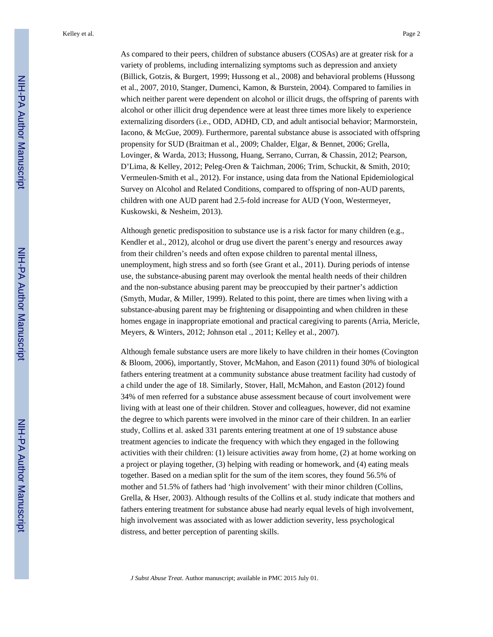Kelley et al. Page 2

As compared to their peers, children of substance abusers (COSAs) are at greater risk for a variety of problems, including internalizing symptoms such as depression and anxiety (Billick, Gotzis, & Burgert, 1999; Hussong et al., 2008) and behavioral problems (Hussong et al., 2007, 2010, Stanger, Dumenci, Kamon, & Burstein, 2004). Compared to families in which neither parent were dependent on alcohol or illicit drugs, the offspring of parents with alcohol or other illicit drug dependence were at least three times more likely to experience externalizing disorders (i.e., ODD, ADHD, CD, and adult antisocial behavior; Marmorstein, Iacono, & McGue, 2009). Furthermore, parental substance abuse is associated with offspring propensity for SUD (Braitman et al., 2009; Chalder, Elgar, & Bennet, 2006; Grella, Lovinger, & Warda, 2013; Hussong, Huang, Serrano, Curran, & Chassin, 2012; Pearson, D'Lima, & Kelley, 2012; Peleg-Oren & Taichman, 2006; Trim, Schuckit, & Smith, 2010; Vermeulen-Smith et al., 2012). For instance, using data from the National Epidemiological Survey on Alcohol and Related Conditions, compared to offspring of non-AUD parents, children with one AUD parent had 2.5-fold increase for AUD (Yoon, Westermeyer, Kuskowski, & Nesheim, 2013).

Although genetic predisposition to substance use is a risk factor for many children (e.g., Kendler et al., 2012), alcohol or drug use divert the parent's energy and resources away from their children's needs and often expose children to parental mental illness, unemployment, high stress and so forth (see Grant et al., 2011). During periods of intense use, the substance-abusing parent may overlook the mental health needs of their children and the non-substance abusing parent may be preoccupied by their partner's addiction (Smyth, Mudar, & Miller, 1999). Related to this point, there are times when living with a substance-abusing parent may be frightening or disappointing and when children in these homes engage in inappropriate emotional and practical caregiving to parents (Arria, Mericle, Meyers, & Winters, 2012; Johnson etal ., 2011; Kelley et al., 2007).

Although female substance users are more likely to have children in their homes (Covington & Bloom, 2006), importantly, Stover, McMahon, and Eason (2011) found 30% of biological fathers entering treatment at a community substance abuse treatment facility had custody of a child under the age of 18. Similarly, Stover, Hall, McMahon, and Easton (2012) found 34% of men referred for a substance abuse assessment because of court involvement were living with at least one of their children. Stover and colleagues, however, did not examine the degree to which parents were involved in the minor care of their children. In an earlier study, Collins et al. asked 331 parents entering treatment at one of 19 substance abuse treatment agencies to indicate the frequency with which they engaged in the following activities with their children: (1) leisure activities away from home, (2) at home working on a project or playing together, (3) helping with reading or homework, and (4) eating meals together. Based on a median split for the sum of the item scores, they found 56.5% of mother and 51.5% of fathers had 'high involvement' with their minor children (Collins, Grella, & Hser, 2003). Although results of the Collins et al. study indicate that mothers and fathers entering treatment for substance abuse had nearly equal levels of high involvement, high involvement was associated with as lower addiction severity, less psychological distress, and better perception of parenting skills.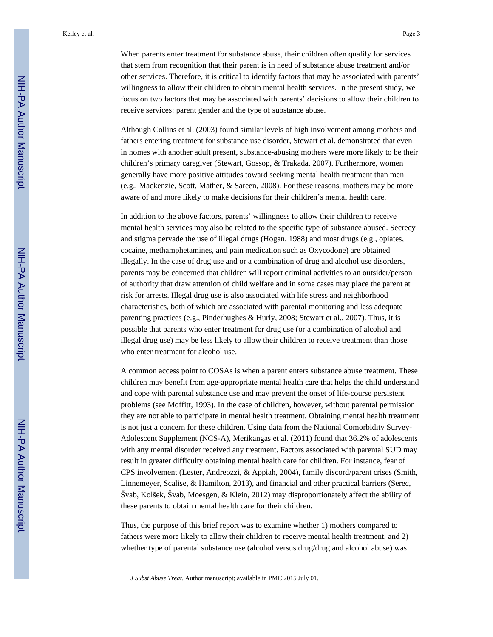When parents enter treatment for substance abuse, their children often qualify for services that stem from recognition that their parent is in need of substance abuse treatment and/or other services. Therefore, it is critical to identify factors that may be associated with parents' willingness to allow their children to obtain mental health services. In the present study, we focus on two factors that may be associated with parents' decisions to allow their children to receive services: parent gender and the type of substance abuse.

Although Collins et al. (2003) found similar levels of high involvement among mothers and fathers entering treatment for substance use disorder, Stewart et al. demonstrated that even in homes with another adult present, substance-abusing mothers were more likely to be their children's primary caregiver (Stewart, Gossop, & Trakada, 2007). Furthermore, women generally have more positive attitudes toward seeking mental health treatment than men (e.g., Mackenzie, Scott, Mather, & Sareen, 2008). For these reasons, mothers may be more aware of and more likely to make decisions for their children's mental health care.

In addition to the above factors, parents' willingness to allow their children to receive mental health services may also be related to the specific type of substance abused. Secrecy and stigma pervade the use of illegal drugs (Hogan, 1988) and most drugs (e.g., opiates, cocaine, methamphetamines, and pain medication such as Oxycodone) are obtained illegally. In the case of drug use and or a combination of drug and alcohol use disorders, parents may be concerned that children will report criminal activities to an outsider/person of authority that draw attention of child welfare and in some cases may place the parent at risk for arrests. Illegal drug use is also associated with life stress and neighborhood characteristics, both of which are associated with parental monitoring and less adequate parenting practices (e.g., Pinderhughes & Hurly, 2008; Stewart et al., 2007). Thus, it is possible that parents who enter treatment for drug use (or a combination of alcohol and illegal drug use) may be less likely to allow their children to receive treatment than those who enter treatment for alcohol use.

A common access point to COSAs is when a parent enters substance abuse treatment. These children may benefit from age-appropriate mental health care that helps the child understand and cope with parental substance use and may prevent the onset of life-course persistent problems (see Moffitt, 1993). In the case of children, however, without parental permission they are not able to participate in mental health treatment. Obtaining mental health treatment is not just a concern for these children. Using data from the National Comorbidity Survey-Adolescent Supplement (NCS-A), Merikangas et al. (2011) found that 36.2% of adolescents with any mental disorder received any treatment. Factors associated with parental SUD may result in greater difficulty obtaining mental health care for children. For instance, fear of CPS involvement (Lester, Andreozzi, & Appiah, 2004), family discord/parent crises (Smith, Linnemeyer, Scalise, & Hamilton, 2013), and financial and other practical barriers (Serec, Švab, Kolšek, Švab, Moesgen, & Klein, 2012) may disproportionately affect the ability of these parents to obtain mental health care for their children.

Thus, the purpose of this brief report was to examine whether 1) mothers compared to fathers were more likely to allow their children to receive mental health treatment, and 2) whether type of parental substance use (alcohol versus drug/drug and alcohol abuse) was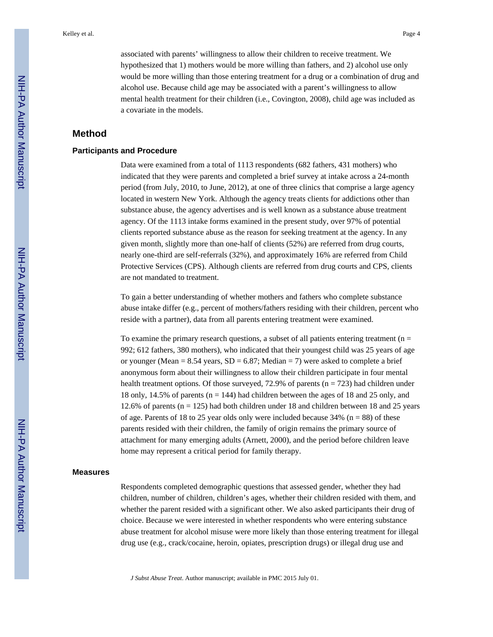associated with parents' willingness to allow their children to receive treatment. We hypothesized that 1) mothers would be more willing than fathers, and 2) alcohol use only would be more willing than those entering treatment for a drug or a combination of drug and alcohol use. Because child age may be associated with a parent's willingness to allow mental health treatment for their children (i.e., Covington, 2008), child age was included as a covariate in the models.

#### **Method**

#### **Participants and Procedure**

Data were examined from a total of 1113 respondents (682 fathers, 431 mothers) who indicated that they were parents and completed a brief survey at intake across a 24-month period (from July, 2010, to June, 2012), at one of three clinics that comprise a large agency located in western New York. Although the agency treats clients for addictions other than substance abuse, the agency advertises and is well known as a substance abuse treatment agency. Of the 1113 intake forms examined in the present study, over 97% of potential clients reported substance abuse as the reason for seeking treatment at the agency. In any given month, slightly more than one-half of clients (52%) are referred from drug courts, nearly one-third are self-referrals (32%), and approximately 16% are referred from Child Protective Services (CPS). Although clients are referred from drug courts and CPS, clients are not mandated to treatment.

To gain a better understanding of whether mothers and fathers who complete substance abuse intake differ (e.g., percent of mothers/fathers residing with their children, percent who reside with a partner), data from all parents entering treatment were examined.

To examine the primary research questions, a subset of all patients entering treatment ( $n =$ 992; 612 fathers, 380 mothers), who indicated that their youngest child was 25 years of age or younger (Mean =  $8.54$  years, SD =  $6.87$ ; Median = 7) were asked to complete a brief anonymous form about their willingness to allow their children participate in four mental health treatment options. Of those surveyed,  $72.9\%$  of parents (n = 723) had children under 18 only, 14.5% of parents (n = 144) had children between the ages of 18 and 25 only, and 12.6% of parents ( $n = 125$ ) had both children under 18 and children between 18 and 25 years of age. Parents of 18 to 25 year olds only were included because  $34\%$  (n = 88) of these parents resided with their children, the family of origin remains the primary source of attachment for many emerging adults (Arnett, 2000), and the period before children leave home may represent a critical period for family therapy.

#### **Measures**

Respondents completed demographic questions that assessed gender, whether they had children, number of children, children's ages, whether their children resided with them, and whether the parent resided with a significant other. We also asked participants their drug of choice. Because we were interested in whether respondents who were entering substance abuse treatment for alcohol misuse were more likely than those entering treatment for illegal drug use (e.g., crack/cocaine, heroin, opiates, prescription drugs) or illegal drug use and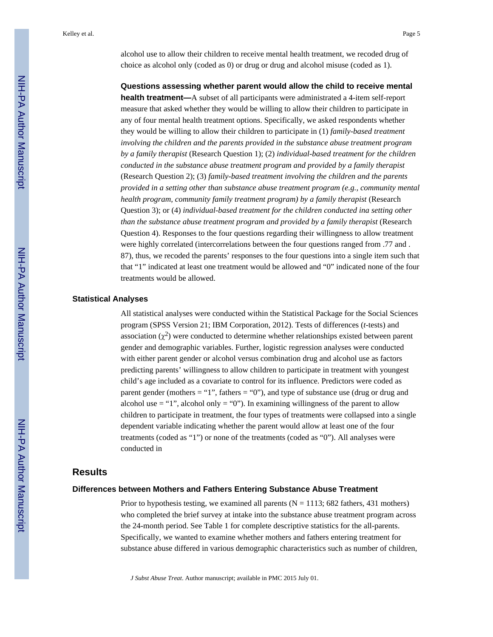alcohol use to allow their children to receive mental health treatment, we recoded drug of choice as alcohol only (coded as 0) or drug or drug and alcohol misuse (coded as 1).

**Questions assessing whether parent would allow the child to receive mental health treatment—**A subset of all participants were administrated a 4-item self-report measure that asked whether they would be willing to allow their children to participate in any of four mental health treatment options. Specifically, we asked respondents whether they would be willing to allow their children to participate in (1) *family-based treatment involving the children and the parents provided in the substance abuse treatment program by a family therapist* (Research Question 1); (2) *individual-based treatment for the children conducted in the substance abuse treatment program and provided by a family therapist* (Research Question 2); (3) *family-based treatment involving the children and the parents provided in a setting other than substance abuse treatment program (e.g., community mental health program, community family treatment program) by a family therapist* (Research Question 3); or (4) *individual-based treatment for the children conducted ina setting other than the substance abuse treatment program and provided by a family therapist* (Research Question 4). Responses to the four questions regarding their willingness to allow treatment were highly correlated (intercorrelations between the four questions ranged from .77 and . 87), thus, we recoded the parents' responses to the four questions into a single item such that that "1" indicated at least one treatment would be allowed and "0" indicated none of the four treatments would be allowed.

#### **Statistical Analyses**

All statistical analyses were conducted within the Statistical Package for the Social Sciences program (SPSS Version 21; IBM Corporation, 2012). Tests of differences (*t*-tests) and association  $(\chi^2)$  were conducted to determine whether relationships existed between parent gender and demographic variables. Further, logistic regression analyses were conducted with either parent gender or alcohol versus combination drug and alcohol use as factors predicting parents' willingness to allow children to participate in treatment with youngest child's age included as a covariate to control for its influence. Predictors were coded as parent gender (mothers  $=$  "1", fathers  $=$  "0"), and type of substance use (drug or drug and alcohol use  $=$  "1", alcohol only  $=$  "0"). In examining willingness of the parent to allow children to participate in treatment, the four types of treatments were collapsed into a single dependent variable indicating whether the parent would allow at least one of the four treatments (coded as "1") or none of the treatments (coded as "0"). All analyses were conducted in

#### **Results**

#### **Differences between Mothers and Fathers Entering Substance Abuse Treatment**

Prior to hypothesis testing, we examined all parents ( $N = 1113$ ; 682 fathers, 431 mothers) who completed the brief survey at intake into the substance abuse treatment program across the 24-month period. See Table 1 for complete descriptive statistics for the all-parents. Specifically, we wanted to examine whether mothers and fathers entering treatment for substance abuse differed in various demographic characteristics such as number of children,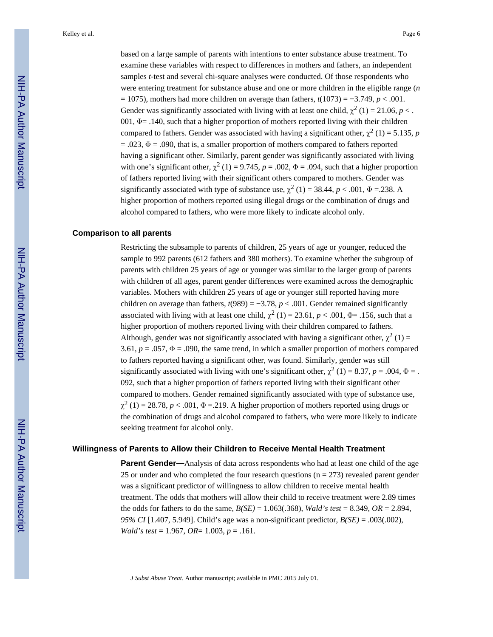based on a large sample of parents with intentions to enter substance abuse treatment. To examine these variables with respect to differences in mothers and fathers, an independent samples *t*-test and several chi-square analyses were conducted. Of those respondents who were entering treatment for substance abuse and one or more children in the eligible range (*n* = 1075), mothers had more children on average than fathers, *t*(1073) = −3.749, *p* < .001. Gender was significantly associated with living with at least one child,  $\chi^2$  (1) = 21.06, *p* < . 001,  $\Phi$  = .140, such that a higher proportion of mothers reported living with their children compared to fathers. Gender was associated with having a significant other,  $\chi^2$  (1) = 5.135, *p*  $= .023$ ,  $\Phi = .090$ , that is, a smaller proportion of mothers compared to fathers reported having a significant other. Similarly, parent gender was significantly associated with living with one's significant other,  $\chi^2$  (1) = 9.745, *p* = .002,  $\Phi$  = .094, such that a higher proportion of fathers reported living with their significant others compared to mothers. Gender was significantly associated with type of substance use,  $\chi^2$  (1) = 38.44, *p* < .001,  $\Phi$  = .238. A higher proportion of mothers reported using illegal drugs or the combination of drugs and alcohol compared to fathers, who were more likely to indicate alcohol only.

#### **Comparison to all parents**

Restricting the subsample to parents of children, 25 years of age or younger, reduced the sample to 992 parents (612 fathers and 380 mothers). To examine whether the subgroup of parents with children 25 years of age or younger was similar to the larger group of parents with children of all ages, parent gender differences were examined across the demographic variables. Mothers with children 25 years of age or younger still reported having more children on average than fathers,  $t(989) = -3.78$ ,  $p < .001$ . Gender remained significantly associated with living with at least one child,  $\chi^2$  (1) = 23.61, *p* < .001,  $\Phi$ = .156, such that a higher proportion of mothers reported living with their children compared to fathers. Although, gender was not significantly associated with having a significant other,  $\chi^2$  (1) = 3.61,  $p = .057$ ,  $\Phi = .090$ , the same trend, in which a smaller proportion of mothers compared to fathers reported having a significant other, was found. Similarly, gender was still significantly associated with living with one's significant other,  $\chi^2$  (1) = 8.37, *p* = .004,  $\Phi$  = . 092, such that a higher proportion of fathers reported living with their significant other compared to mothers. Gender remained significantly associated with type of substance use,  $\chi^2$  (1) = 28.78, *p* < .001,  $\Phi$  = .219. A higher proportion of mothers reported using drugs or the combination of drugs and alcohol compared to fathers, who were more likely to indicate seeking treatment for alcohol only.

#### **Willingness of Parents to Allow their Children to Receive Mental Health Treatment**

**Parent Gender—**Analysis of data across respondents who had at least one child of the age 25 or under and who completed the four research questions ( $n = 273$ ) revealed parent gender was a significant predictor of willingness to allow children to receive mental health treatment. The odds that mothers will allow their child to receive treatment were 2.89 times the odds for fathers to do the same, *B(SE)* = 1.063(.368), *Wald's test* = 8.349, *OR* = 2.894, *95% CI* [1.407, 5.949]. Child's age was a non-significant predictor, *B(SE)* = .003(.002), *Wald's test* = 1.967, *OR*= 1.003, *p* = .161.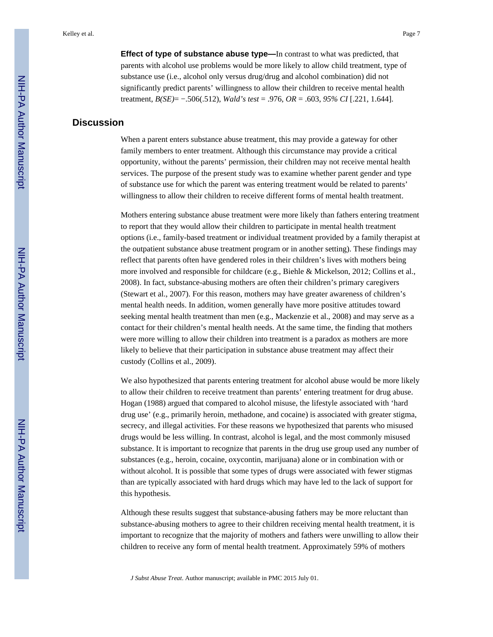**Effect of type of substance abuse type—In contrast to what was predicted, that** parents with alcohol use problems would be more likely to allow child treatment, type of substance use (i.e., alcohol only versus drug/drug and alcohol combination) did not significantly predict parents' willingness to allow their children to receive mental health treatment, *B(SE)*= −.506(.512), *Wald's test* = .976, *OR* = .603, *95% CI* [.221, 1.644].

#### **Discussion**

When a parent enters substance abuse treatment, this may provide a gateway for other family members to enter treatment. Although this circumstance may provide a critical opportunity, without the parents' permission, their children may not receive mental health services. The purpose of the present study was to examine whether parent gender and type of substance use for which the parent was entering treatment would be related to parents' willingness to allow their children to receive different forms of mental health treatment.

Mothers entering substance abuse treatment were more likely than fathers entering treatment to report that they would allow their children to participate in mental health treatment options (i.e., family-based treatment or individual treatment provided by a family therapist at the outpatient substance abuse treatment program or in another setting). These findings may reflect that parents often have gendered roles in their children's lives with mothers being more involved and responsible for childcare (e.g., Biehle & Mickelson, 2012; Collins et al., 2008). In fact, substance-abusing mothers are often their children's primary caregivers (Stewart et al., 2007). For this reason, mothers may have greater awareness of children's mental health needs. In addition, women generally have more positive attitudes toward seeking mental health treatment than men (e.g., Mackenzie et al., 2008) and may serve as a contact for their children's mental health needs. At the same time, the finding that mothers were more willing to allow their children into treatment is a paradox as mothers are more likely to believe that their participation in substance abuse treatment may affect their custody (Collins et al., 2009).

We also hypothesized that parents entering treatment for alcohol abuse would be more likely to allow their children to receive treatment than parents' entering treatment for drug abuse. Hogan (1988) argued that compared to alcohol misuse, the lifestyle associated with 'hard drug use' (e.g., primarily heroin, methadone, and cocaine) is associated with greater stigma, secrecy, and illegal activities. For these reasons we hypothesized that parents who misused drugs would be less willing. In contrast, alcohol is legal, and the most commonly misused substance. It is important to recognize that parents in the drug use group used any number of substances (e.g., heroin, cocaine, oxycontin, marijuana) alone or in combination with or without alcohol. It is possible that some types of drugs were associated with fewer stigmas than are typically associated with hard drugs which may have led to the lack of support for this hypothesis.

Although these results suggest that substance-abusing fathers may be more reluctant than substance-abusing mothers to agree to their children receiving mental health treatment, it is important to recognize that the majority of mothers and fathers were unwilling to allow their children to receive any form of mental health treatment. Approximately 59% of mothers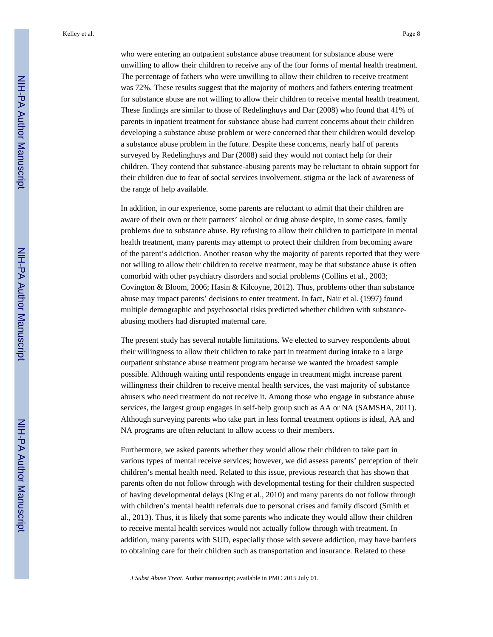Kelley et al. Page 8

who were entering an outpatient substance abuse treatment for substance abuse were unwilling to allow their children to receive any of the four forms of mental health treatment. The percentage of fathers who were unwilling to allow their children to receive treatment was 72%. These results suggest that the majority of mothers and fathers entering treatment for substance abuse are not willing to allow their children to receive mental health treatment. These findings are similar to those of Redelinghuys and Dar (2008) who found that 41% of parents in inpatient treatment for substance abuse had current concerns about their children developing a substance abuse problem or were concerned that their children would develop a substance abuse problem in the future. Despite these concerns, nearly half of parents surveyed by Redelinghuys and Dar (2008) said they would not contact help for their children. They contend that substance-abusing parents may be reluctant to obtain support for their children due to fear of social services involvement, stigma or the lack of awareness of the range of help available.

In addition, in our experience, some parents are reluctant to admit that their children are aware of their own or their partners' alcohol or drug abuse despite, in some cases, family problems due to substance abuse. By refusing to allow their children to participate in mental health treatment, many parents may attempt to protect their children from becoming aware of the parent's addiction. Another reason why the majority of parents reported that they were not willing to allow their children to receive treatment, may be that substance abuse is often comorbid with other psychiatry disorders and social problems (Collins et al., 2003; Covington & Bloom, 2006; Hasin & Kilcoyne, 2012). Thus, problems other than substance abuse may impact parents' decisions to enter treatment. In fact, Nair et al. (1997) found multiple demographic and psychosocial risks predicted whether children with substanceabusing mothers had disrupted maternal care.

The present study has several notable limitations. We elected to survey respondents about their willingness to allow their children to take part in treatment during intake to a large outpatient substance abuse treatment program because we wanted the broadest sample possible. Although waiting until respondents engage in treatment might increase parent willingness their children to receive mental health services, the vast majority of substance abusers who need treatment do not receive it. Among those who engage in substance abuse services, the largest group engages in self-help group such as AA or NA (SAMSHA, 2011). Although surveying parents who take part in less formal treatment options is ideal, AA and NA programs are often reluctant to allow access to their members.

Furthermore, we asked parents whether they would allow their children to take part in various types of mental receive services; however, we did assess parents' perception of their children's mental health need. Related to this issue, previous research that has shown that parents often do not follow through with developmental testing for their children suspected of having developmental delays (King et al., 2010) and many parents do not follow through with children's mental health referrals due to personal crises and family discord (Smith et al., 2013). Thus, it is likely that some parents who indicate they would allow their children to receive mental health services would not actually follow through with treatment. In addition, many parents with SUD, especially those with severe addiction, may have barriers to obtaining care for their children such as transportation and insurance. Related to these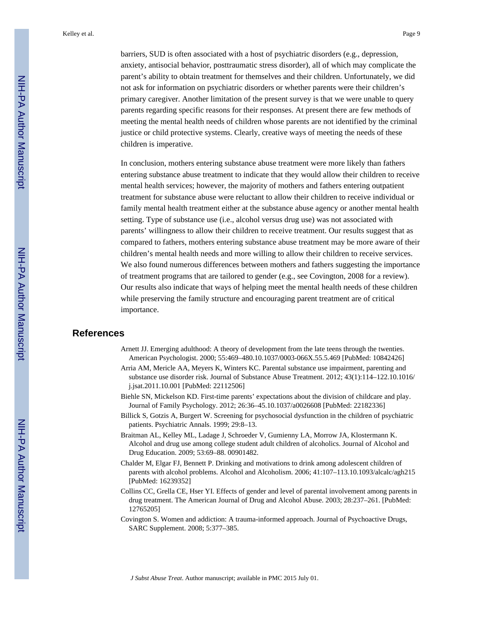Kelley et al. Page 9

barriers, SUD is often associated with a host of psychiatric disorders (e.g., depression, anxiety, antisocial behavior, posttraumatic stress disorder), all of which may complicate the parent's ability to obtain treatment for themselves and their children. Unfortunately, we did not ask for information on psychiatric disorders or whether parents were their children's primary caregiver. Another limitation of the present survey is that we were unable to query parents regarding specific reasons for their responses. At present there are few methods of meeting the mental health needs of children whose parents are not identified by the criminal justice or child protective systems. Clearly, creative ways of meeting the needs of these children is imperative.

In conclusion, mothers entering substance abuse treatment were more likely than fathers entering substance abuse treatment to indicate that they would allow their children to receive mental health services; however, the majority of mothers and fathers entering outpatient treatment for substance abuse were reluctant to allow their children to receive individual or family mental health treatment either at the substance abuse agency or another mental health setting. Type of substance use (i.e., alcohol versus drug use) was not associated with parents' willingness to allow their children to receive treatment. Our results suggest that as compared to fathers, mothers entering substance abuse treatment may be more aware of their children's mental health needs and more willing to allow their children to receive services. We also found numerous differences between mothers and fathers suggesting the importance of treatment programs that are tailored to gender (e.g., see Covington, 2008 for a review). Our results also indicate that ways of helping meet the mental health needs of these children while preserving the family structure and encouraging parent treatment are of critical importance.

#### **References**

- Arnett JJ. Emerging adulthood: A theory of development from the late teens through the twenties. American Psychologist. 2000; 55:469–480.10.1037/0003-066X.55.5.469 [PubMed: 10842426]
- Arria AM, Mericle AA, Meyers K, Winters KC. Parental substance use impairment, parenting and substance use disorder risk. Journal of Substance Abuse Treatment. 2012; 43(1):114–122.10.1016/ j.jsat.2011.10.001 [PubMed: 22112506]
- Biehle SN, Mickelson KD. First-time parents' expectations about the division of childcare and play. Journal of Family Psychology. 2012; 26:36–45.10.1037/a0026608 [PubMed: 22182336]
- Billick S, Gotzis A, Burgert W. Screening for psychosocial dysfunction in the children of psychiatric patients. Psychiatric Annals. 1999; 29:8–13.
- Braitman AL, Kelley ML, Ladage J, Schroeder V, Gumienny LA, Morrow JA, Klostermann K. Alcohol and drug use among college student adult children of alcoholics. Journal of Alcohol and Drug Education. 2009; 53:69–88. 00901482.
- Chalder M, Elgar FJ, Bennett P. Drinking and motivations to drink among adolescent children of parents with alcohol problems. Alcohol and Alcoholism. 2006; 41:107–113.10.1093/alcalc/agh215 [PubMed: 16239352]
- Collins CC, Grella CE, Hser YI. Effects of gender and level of parental involvement among parents in drug treatment. The American Journal of Drug and Alcohol Abuse. 2003; 28:237–261. [PubMed: 12765205]
- Covington S. Women and addiction: A trauma-informed approach. Journal of Psychoactive Drugs, SARC Supplement. 2008; 5:377–385.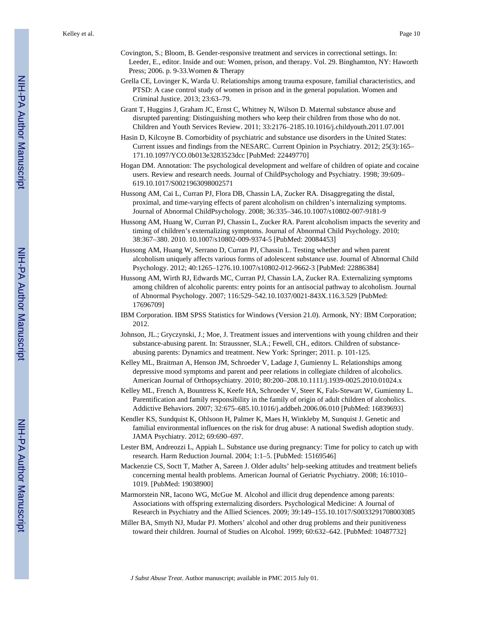- Covington, S.; Bloom, B. Gender-responsive treatment and services in correctional settings. In: Leeder, E., editor. Inside and out: Women, prison, and therapy. Vol. 29. Binghamton, NY: Haworth Press; 2006. p. 9-33.Women & Therapy
- Grella CE, Lovinger K, Warda U. Relationships among trauma exposure, familial characteristics, and PTSD: A case control study of women in prison and in the general population. Women and Criminal Justice. 2013; 23:63–79.
- Grant T, Huggins J, Graham JC, Ernst C, Whitney N, Wilson D. Maternal substance abuse and disrupted parenting: Distinguishing mothers who keep their children from those who do not. Children and Youth Services Review. 2011; 33:2176–2185.10.1016/j.childyouth.2011.07.001
- Hasin D, Kilcoyne B. Comorbidity of psychiatric and substance use disorders in the United States: Current issues and findings from the NESARC. Current Opinion in Psychiatry. 2012; 25(3):165– 171.10.1097/YCO.0b013e3283523dcc [PubMed: 22449770]
- Hogan DM. Annotation: The psychological development and welfare of children of opiate and cocaine users. Review and research needs. Journal of ChildPsychology and Psychiatry. 1998; 39:609– 619.10.1017/S0021963098002571
- Hussong AM, Cai L, Curran PJ, Flora DB, Chassin LA, Zucker RA. Disaggregating the distal, proximal, and time-varying effects of parent alcoholism on children's internalizing symptoms. Journal of Abnormal ChildPsychology. 2008; 36:335–346.10.1007/s10802-007-9181-9
- Hussong AM, Huang W, Curran PJ, Chassin L, Zucker RA. Parent alcoholism impacts the severity and timing of children's externalizing symptoms. Journal of Abnormal Child Psychology. 2010; 38:367–380. 2010. 10.1007/s10802-009-9374-5 [PubMed: 20084453]
- Hussong AM, Huang W, Serrano D, Curran PJ, Chassin L. Testing whether and when parent alcoholism uniquely affects various forms of adolescent substance use. Journal of Abnormal Child Psychology. 2012; 40:1265–1276.10.1007/s10802-012-9662-3 [PubMed: 22886384]
- Hussong AM, Wirth RJ, Edwards MC, Curran PJ, Chassin LA, Zucker RA. Externalizing symptoms among children of alcoholic parents: entry points for an antisocial pathway to alcoholism. Journal of Abnormal Psychology. 2007; 116:529–542.10.1037/0021-843X.116.3.529 [PubMed: 17696709]
- IBM Corporation. IBM SPSS Statistics for Windows (Version 21.0). Armonk, NY: IBM Corporation; 2012.
- Johnson, JL.; Gryczynski, J.; Moe, J. Treatment issues and interventions with young children and their substance-abusing parent. In: Straussner, SLA.; Fewell, CH., editors. Children of substanceabusing parents: Dynamics and treatment. New York: Springer; 2011. p. 101-125.
- Kelley ML, Braitman A, Henson JM, Schroeder V, Ladage J, Gumienny L. Relationships among depressive mood symptoms and parent and peer relations in collegiate children of alcoholics. American Journal of Orthopsychiatry. 2010; 80:200–208.10.1111/j.1939-0025.2010.01024.x
- Kelley ML, French A, Bountress K, Keefe HA, Schroeder V, Steer K, Fals-Stewart W, Gumienny L. Parentification and family responsibility in the family of origin of adult children of alcoholics. Addictive Behaviors. 2007; 32:675–685.10.1016/j.addbeh.2006.06.010 [PubMed: 16839693]
- Kendler KS, Sundquist K, Ohlsoon H, Palmer K, Maes H, Winkleby M, Sunquist J. Genetic and familial environmental influences on the risk for drug abuse: A national Swedish adoption study. JAMA Psychiatry. 2012; 69:690–697.
- Lester BM, Andreozzi L, Appiah L. Substance use during pregnancy: Time for policy to catch up with research. Harm Reduction Journal. 2004; 1:1–5. [PubMed: 15169546]
- Mackenzie CS, Soctt T, Mather A, Sareen J. Older adults' help-seeking attitudes and treatment beliefs concerning mental health problems. American Journal of Geriatric Psychiatry. 2008; 16:1010– 1019. [PubMed: 19038900]
- Marmorstein NR, Iacono WG, McGue M. Alcohol and illicit drug dependence among parents: Associations with offspring externalizing disorders. Psychological Medicine: A Journal of Research in Psychiatry and the Allied Sciences. 2009; 39:149–155.10.1017/S0033291708003085
- Miller BA, Smyth NJ, Mudar PJ. Mothers' alcohol and other drug problems and their punitiveness toward their children. Journal of Studies on Alcohol. 1999; 60:632–642. [PubMed: 10487732]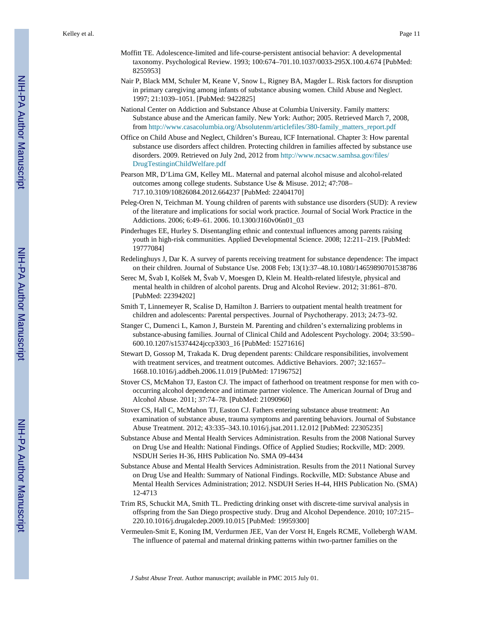- Moffitt TE. Adolescence-limited and life-course-persistent antisocial behavior: A developmental taxonomy. Psychological Review. 1993; 100:674–701.10.1037/0033-295X.100.4.674 [PubMed: 8255953]
- Nair P, Black MM, Schuler M, Keane V, Snow L, Rigney BA, Magder L. Risk factors for disruption in primary caregiving among infants of substance abusing women. Child Abuse and Neglect. 1997; 21:1039–1051. [PubMed: 9422825]
- National Center on Addiction and Substance Abuse at Columbia University. Family matters: Substance abuse and the American family. New York: Author; 2005. Retrieved March 7, 2008, from [http://www.casacolumbia.org/Absolutenm/articlefiles/380-family\\_matters\\_report.pdf](http://www.casacolumbia.org/Absolutenm/articlefiles/380-family_matters_report.pdf)
- Office on Child Abuse and Neglect, Children's Bureau, ICF International. Chapter 3: How parental substance use disorders affect children. Protecting children in families affected by substance use disorders. 2009. Retrieved on July 2nd, 2012 from [http://www.ncsacw.samhsa.gov/files/](http://www.ncsacw.samhsa.gov/files/DrugTestinginChildWelfare.pdf) [DrugTestinginChildWelfare.pdf](http://www.ncsacw.samhsa.gov/files/DrugTestinginChildWelfare.pdf)
- Pearson MR, D'Lima GM, Kelley ML. Maternal and paternal alcohol misuse and alcohol-related outcomes among college students. Substance Use & Misuse. 2012; 47:708– 717.10.3109/10826084.2012.664237 [PubMed: 22404170]
- Peleg-Oren N, Teichman M. Young children of parents with substance use disorders (SUD): A review of the literature and implications for social work practice. Journal of Social Work Practice in the Addictions. 2006; 6:49–61. 2006. 10.1300/J160v06n01\_03
- Pinderhuges EE, Hurley S. Disentangling ethnic and contextual influences among parents raising youth in high-risk communities. Applied Developmental Science. 2008; 12:211–219. [PubMed: 19777084]
- Redelinghuys J, Dar K. A survey of parents receiving treatment for substance dependence: The impact on their children. Journal of Substance Use. 2008 Feb; 13(1):37–48.10.1080/14659890701538786
- Serec M, Švab I, Kolšek M, Švab V, Moesgen D, Klein M. Health-related lifestyle, physical and mental health in children of alcohol parents. Drug and Alcohol Review. 2012; 31:861–870. [PubMed: 22394202]
- Smith T, Linnemeyer R, Scalise D, Hamilton J. Barriers to outpatient mental health treatment for children and adolescents: Parental perspectives. Journal of Psychotherapy. 2013; 24:73–92.
- Stanger C, Dumenci L, Kamon J, Burstein M. Parenting and children's externalizing problems in substance-abusing families. Journal of Clinical Child and Adolescent Psychology. 2004; 33:590– 600.10.1207/s15374424jccp3303\_16 [PubMed: 15271616]
- Stewart D, Gossop M, Trakada K. Drug dependent parents: Childcare responsibilities, involvement with treatment services, and treatment outcomes. Addictive Behaviors. 2007; 32:1657– 1668.10.1016/j.addbeh.2006.11.019 [PubMed: 17196752]
- Stover CS, McMahon TJ, Easton CJ. The impact of fatherhood on treatment response for men with cooccurring alcohol dependence and intimate partner violence. The American Journal of Drug and Alcohol Abuse. 2011; 37:74–78. [PubMed: 21090960]
- Stover CS, Hall C, McMahon TJ, Easton CJ. Fathers entering substance abuse treatment: An examination of substance abuse, trauma symptoms and parenting behaviors. Journal of Substance Abuse Treatment. 2012; 43:335–343.10.1016/j.jsat.2011.12.012 [PubMed: 22305235]
- Substance Abuse and Mental Health Services Administration. Results from the 2008 National Survey on Drug Use and Health: National Findings. Office of Applied Studies; Rockville, MD: 2009. NSDUH Series H-36, HHS Publication No. SMA 09-4434
- Substance Abuse and Mental Health Services Administration. Results from the 2011 National Survey on Drug Use and Health: Summary of National Findings. Rockville, MD: Substance Abuse and Mental Health Services Administration; 2012. NSDUH Series H-44, HHS Publication No. (SMA) 12-4713
- Trim RS, Schuckit MA, Smith TL. Predicting drinking onset with discrete-time survival analysis in offspring from the San Diego prospective study. Drug and Alcohol Dependence. 2010; 107:215– 220.10.1016/j.drugalcdep.2009.10.015 [PubMed: 19959300]
- Vermeulen-Smit E, Koning IM, Verdurmen JEE, Van der Vorst H, Engels RCME, Vollebergh WAM. The influence of paternal and maternal drinking patterns within two-partner families on the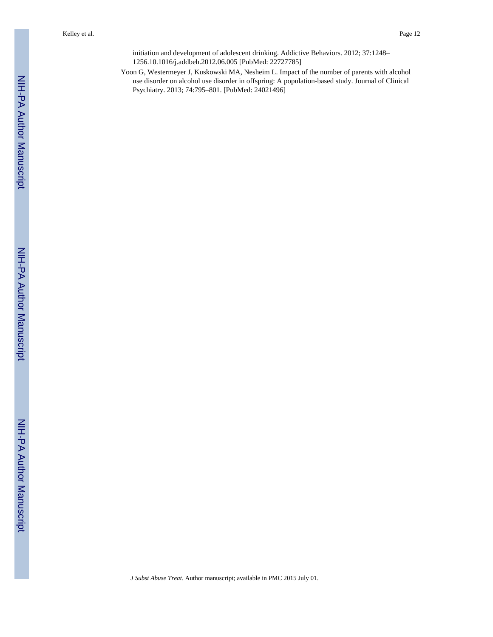initiation and development of adolescent drinking. Addictive Behaviors. 2012; 37:1248– 1256.10.1016/j.addbeh.2012.06.005 [PubMed: 22727785]

Yoon G, Westermeyer J, Kuskowski MA, Nesheim L. Impact of the number of parents with alcohol use disorder on alcohol use disorder in offspring: A population-based study. Journal of Clinical Psychiatry. 2013; 74:795–801. [PubMed: 24021496]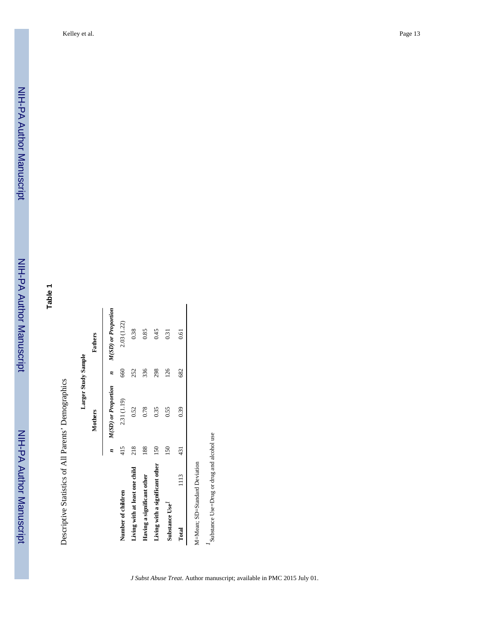**Table 1**

Descriptive Statistics of All Parents' Demographics Descriptive Statistics of All Parents' Demographics

Larger Study Sample **Larger Study Sample**

|                                 |      |     | Mothers             |     | Fathers             |
|---------------------------------|------|-----|---------------------|-----|---------------------|
|                                 |      |     | M(SD) or Proportion | È,  | M(SD) or Proportion |
| Number of children              |      | 415 | 2.31 (1.19)         | 660 | 2.03 (1.22)         |
| Living with at least one child  |      | 218 | 0.52                | 252 | 0.38                |
| Having a significant other      |      | 188 | 0.78                | 336 | 0.85                |
| Living with a significant other |      | 150 | 0.35                | 298 | 0.45                |
| Substance Use <sup>1</sup>      |      | 150 | 0.55                | 126 | 0.31                |
| Total                           | 1113 | 431 | 0.39                | 682 | 0.61                |
| M=Mean; SD=Standard Deviation   |      |     |                     |     |                     |
|                                 |      |     |                     |     |                     |

 $\prime$  Substance Use=Drug or drug and alcohol use *1*Substance Use=Drug or drug and alcohol use